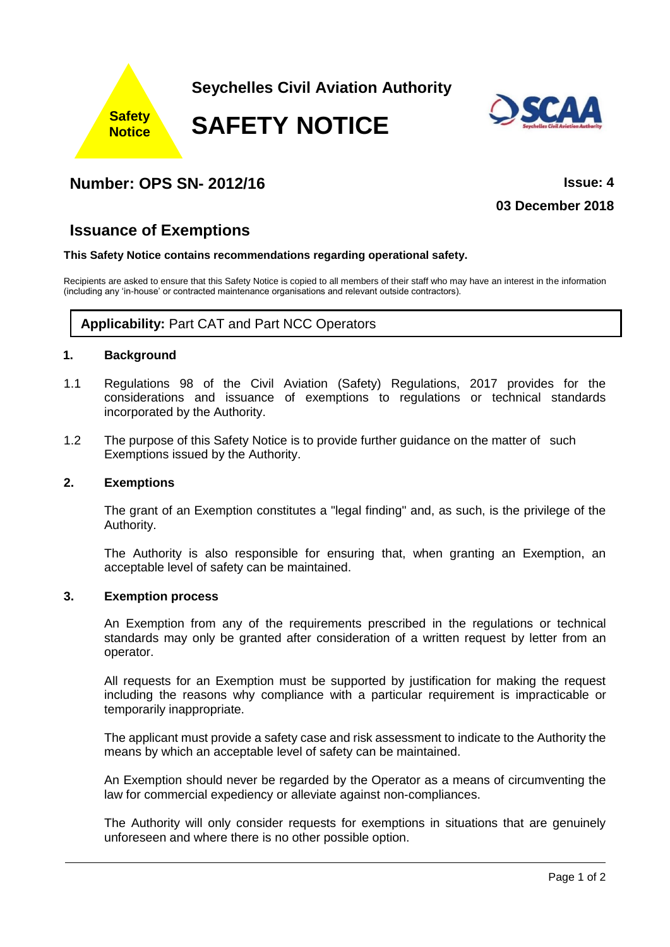

# **Number: OPS SN- 2012/16 Issue: 4**

**03 December 2018**

## **Issuance of Exemptions**

#### **This Safety Notice contains recommendations regarding operational safety.**

Recipients are asked to ensure that this Safety Notice is copied to all members of their staff who may have an interest in the information (including any 'in-house' or contracted maintenance organisations and relevant outside contractors).

### **Applicability:** Part CAT and Part NCC Operators

#### **1. Background**

- 1.1 Regulations 98 of the Civil Aviation (Safety) Regulations, 2017 provides for the considerations and issuance of exemptions to regulations or technical standards incorporated by the Authority.
- 1.2 The purpose of this Safety Notice is to provide further guidance on the matter of such Exemptions issued by the Authority.

#### **2. Exemptions**

The grant of an Exemption constitutes a "legal finding" and, as such, is the privilege of the Authority.

The Authority is also responsible for ensuring that, when granting an Exemption, an acceptable level of safety can be maintained.

#### **3. Exemption process**

An Exemption from any of the requirements prescribed in the regulations or technical standards may only be granted after consideration of a written request by letter from an operator.

All requests for an Exemption must be supported by justification for making the request including the reasons why compliance with a particular requirement is impracticable or temporarily inappropriate.

The applicant must provide a safety case and risk assessment to indicate to the Authority the means by which an acceptable level of safety can be maintained.

An Exemption should never be regarded by the Operator as a means of circumventing the law for commercial expediency or alleviate against non-compliances.

The Authority will only consider requests for exemptions in situations that are genuinely unforeseen and where there is no other possible option.